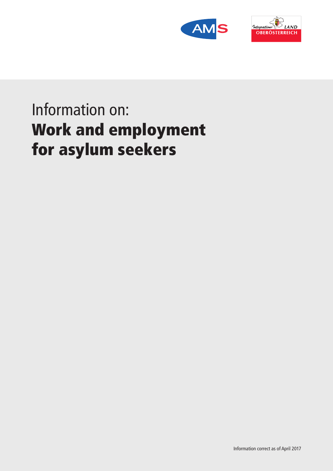



# Information on: Work and employment for asylum seekers

Information correct as of April 2017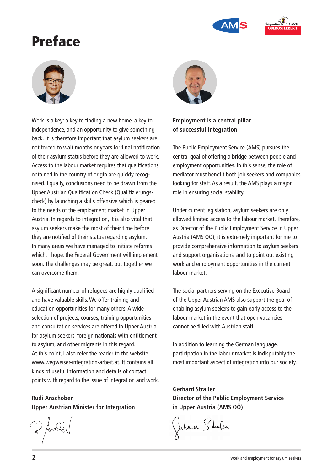



## Preface



Work is a key: a key to finding a new home, a key to independence, and an opportunity to give something back. It is therefore important that asylum seekers are not forced to wait months or years for final notification of their asylum status before they are allowed to work. Access to the labour market requires that qualifications obtained in the country of origin are quickly recognised. Equally, conclusions need to be drawn from the Upper Austrian Qualification Check (Qualifizierungscheck) by launching a skills offensive which is geared to the needs of the employment market in Upper Austria. In regards to integration, it is also vital that asylum seekers make the most of their time before they are notified of their status regarding asylum. In many areas we have managed to initiate reforms which, I hope, the Federal Government will implement soon. The challenges may be great, but together we can overcome them.

A significant number of refugees are highly qualified and have valuable skills. We offer training and education opportunities for many others. A wide selection of projects, courses, training opportunities and consultation services are offered in Upper Austria for asylum seekers, foreign nationals with entitlement to asylum, and other migrants in this regard. At this point, I also refer the reader to the website www.wegweiser-integration-arbeit.at. It contains all kinds of useful information and details of contact points with regard to the issue of integration and work.

**Rudi Anschober Upper Austrian Minister for Integration**



### **Employment is a central pillar of successful integration**

The Public Employment Service (AMS) pursues the central goal of offering a bridge between people and employment opportunities. In this sense, the role of mediator must benefit both job seekers and companies looking for staff. As a result, the AMS plays a major role in ensuring social stability.

Under current legislation, asylum seekers are only allowed limited access to the labour market. Therefore, as Director of the Public Employment Service in Upper Austria (AMS OÖ), it is extremely important for me to provide comprehensive information to asylum seekers and support organisations, and to point out existing work and employment opportunities in the current labour market.

The social partners serving on the Executive Board of the Upper Austrian AMS also support the goal of enabling asylum seekers to gain early access to the labour market in the event that open vacancies cannot be filled with Austrian staff.

In addition to learning the German language, participation in the labour market is indisputably the most important aspect of integration into our society.

**Gerhard Straßer Director of the Public Employment Service in Upper Austria (AMS OÖ)**

Gerhard Schafen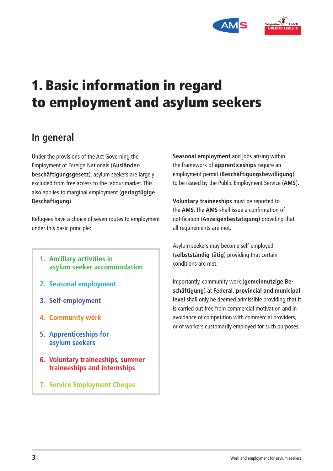



## 1. Basic information in regard to employment and asylum seekers

### **In general**

Under the provisions of the Act Governing the Employment of Foreign Nationals (**Ausländerbeschäftigungsgesetz**), asylum seekers are largely excluded from free access to the labour market. This also applies to marginal employment (**geringfügige Beschäftigung**).

Refugees have a choice of seven routes to employment under this basic principle:

- **1. Ancillary activities in asylum seeker accommodation**
- **2. Seasonal employment**
- **3. Self-employment**
- **4. Community work**
- **5. Apprenticeships for asylum seekers**
- **6. Voluntary traineeships, summer traineeships and internships**
- **7. Service Employment Cheque**

**Seasonal employment** and jobs arising within the framework of **apprenticeships** require an employment permit (**Beschäftigungsbewilligung**) to be issued by the Public Employment Service (**AMS**).

**Voluntary traineeships** must be reported to the **AMS**. The **AMS** shall issue a confirmation of notification (**Anzeigenbestätigung**) providing that all requirements are met.

Asylum seekers may become self-employed (**selbstständig tätig**) providing that certain conditions are met.

Importantly, community work (**gemeinnützige Beschäftigung**) at **Federal, provincial and municipal level** shall only be deemed admissible providing that it is carried out free from commercial motivation and in avoidance of competition with commercial providers, or of workers customarily employed for such purposes.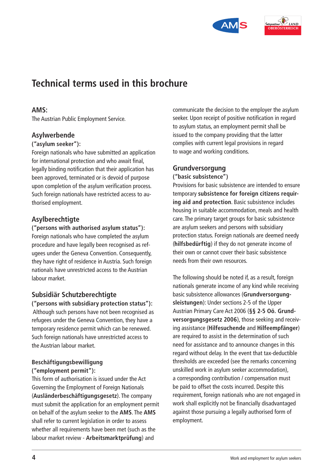



### **Technical terms used in this brochure**

### **AMS:**

The Austrian Public Employment Service.

### **Asylwerbende**

#### **("asylum seeker"):**

Foreign nationals who have submitted an application for international protection and who await final, legally binding notification that their application has been approved, terminated or is devoid of purpose upon completion of the asylum verification process. Such foreign nationals have restricted access to authorised employment.

### **Asylberechtigte**

#### **("persons with authorised asylum status"):**

Foreign nationals who have completed the asylum procedure and have legally been recognised as refugees under the Geneva Convention. Consequently, they have right of residence in Austria. Such foreign nationals have unrestricted access to the Austrian labour market.

### **Subsidiär Schutzberechtigte**

**("persons with subsidiary protection status"):** Although such persons have not been recognised as refugees under the Geneva Convention, they have a temporary residence permit which can be renewed. Such foreign nationals have unrestricted access to the Austrian labour market.

#### **Beschäftigungsbewilligung ("employment permit"):**

This form of authorisation is issued under the Act Governing the Employment of Foreign Nationals (**Ausländerbeschäftigungsgesetz**). The company must submit the application for an employment permit on behalf of the asylum seeker to the **AMS**. The **AMS** shall refer to current legislation in order to assess whether all requirements have been met (such as the labour market review - **Arbeitsmarktprüfung**) and

communicate the decision to the employer the asylum seeker. Upon receipt of positive notification in regard to asylum status, an employment permit shall be issued to the company providing that the latter complies with current legal provisions in regard to wage and working conditions.

### **Grundversorgung**

#### **("basic subsistence")**

Provisions for basic subsistence are intended to ensure temporary **subsistence for foreign citizens requiring aid and protection**. Basic subsistence includes housing in suitable accommodation, meals and health care. The primary target groups for basic subsistence are asylum seekers and persons with subsidiary protection status. Foreign nationals are deemed needy (**hilfsbedürftig**) if they do not generate income of their own or cannot cover their basic subsistence needs from their own resources.

The following should be noted if, as a result, foreign nationals generate income of any kind while receiving basic subsistence allowances (**Grundversorgungsleistungen**): Under sections 2-5 of the Upper Austrian Primary Care Act 2006 (**§§ 2-5 Oö. Grundversorgungsgesetz 2006**), those seeking and receiving assistance (**Hilfesuchende** and **Hilfeempfänger**) are required to assist in the determination of such need for assistance and to announce changes in this regard without delay. In the event that tax-deductible thresholds are exceeded (see the remarks concerning unskilled work in asylum seeker accommodation), a corresponding contribution / compensation must be paid to offset the costs incurred. Despite this requirement, foreign nationals who are not engaged in work shall explicitly not be financially disadvantaged against those pursuing a legally authorised form of employment.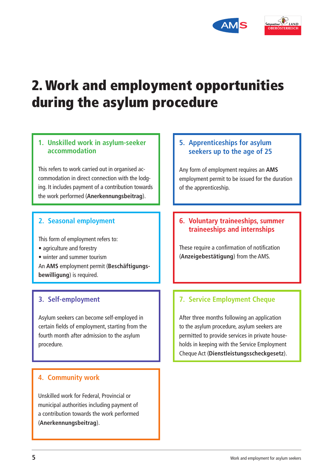



## 2. Work and employment opportunities during the asylum procedure

### **1. Unskilled work in asylum-seeker accommodation**

This refers to work carried out in organised accommodation in direct connection with the lodging. It includes payment of a contribution towards the work performed (**Anerkennungsbeitrag**).

### **2. Seasonal employment**

This form of employment refers to:

- agriculture and forestry
- winter and summer tourism

An **AMS** employment permit (**Beschäftigungsbewilligung**) is required.

### **3. Self-employment**

Asylum seekers can become self-employed in certain fields of employment, starting from the fourth month after admission to the asylum procedure.

### **4. Community work**

Unskilled work for Federal, Provincial or municipal authorities including payment of a contribution towards the work performed (**Anerkennungsbeitrag**).

### **5. Apprenticeships for asylum seekers up to the age of 25**

Any form of employment requires an **AMS** employment permit to be issued for the duration of the apprenticeship.

### **6. Voluntary traineeships, summer traineeships and internships**

These require a confirmation of notification (**Anzeigebestätigung**) from the AMS.

### **7. Service Employment Cheque**

After three months following an application to the asylum procedure, asylum seekers are permitted to provide services in private households in keeping with the Service Employment Cheque Act (**Dienstleistungsscheckgesetz**).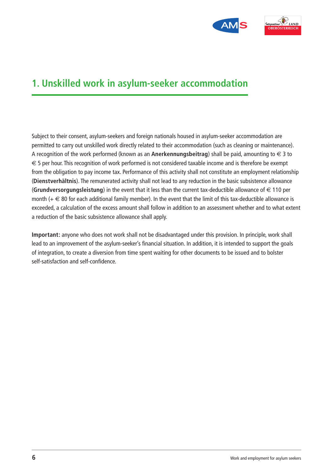



### **1. Unskilled work in asylum-seeker accommodation**

Subject to their consent, asylum-seekers and foreign nationals housed in asylum-seeker accommodation are permitted to carry out unskilled work directly related to their accommodation (such as cleaning or maintenance). A recognition of the work performed (known as an **Anerkennungsbeitrag**) shall be paid, amounting to  $\in$  3 to  $\epsilon$  5 per hour. This recognition of work performed is not considered taxable income and is therefore be exempt from the obligation to pay income tax. Performance of this activity shall not constitute an employment relationship (**Dienstverhältnis**). The remunerated activity shall not lead to any reduction in the basic subsistence allowance (**Grundversorgungsleistung**) in the event that it less than the current tax-deductible allowance of  $\in$  110 per month  $(+\infty)$  80 for each additional family member). In the event that the limit of this tax-deductible allowance is exceeded, a calculation of the excess amount shall follow in addition to an assessment whether and to what extent a reduction of the basic subsistence allowance shall apply.

**Important:** anyone who does not work shall not be disadvantaged under this provision. In principle, work shall lead to an improvement of the asylum-seeker's financial situation. In addition, it is intended to support the goals of integration, to create a diversion from time spent waiting for other documents to be issued and to bolster self-satisfaction and self-confidence.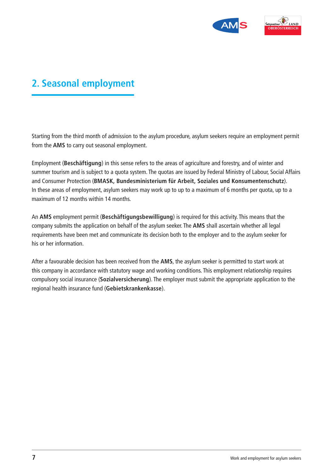

### **2. Seasonal employment**

Starting from the third month of admission to the asylum procedure, asylum seekers require an employment permit from the **AMS** to carry out seasonal employment.

Employment (**Beschäftigung**) in this sense refers to the areas of agriculture and forestry, and of winter and summer tourism and is subject to a quota system. The quotas are issued by Federal Ministry of Labour, Social Affairs and Consumer Protection (**BMASK, Bundesministerium für Arbeit, Soziales und Konsumentenschutz**). In these areas of employment, asylum seekers may work up to up to a maximum of 6 months per quota, up to a maximum of 12 months within 14 months.

An **AMS** employment permit (**Beschäftigungsbewilligung**) is required for this activity. This means that the company submits the application on behalf of the asylum seeker. The **AMS** shall ascertain whether all legal requirements have been met and communicate its decision both to the employer and to the asylum seeker for his or her information.

After a favourable decision has been received from the **AMS**, the asylum seeker is permitted to start work at this company in accordance with statutory wage and working conditions. This employment relationship requires compulsory social insurance (**Sozialversicherung**). The employer must submit the appropriate application to the regional health insurance fund (**Gebietskrankenkasse**).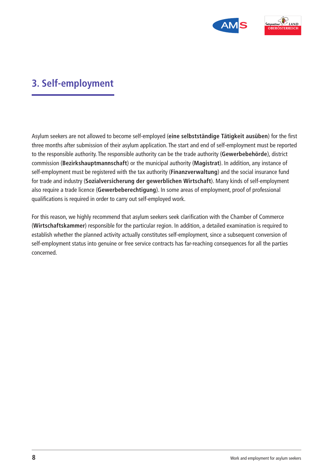

### **3. Self-employment**

Asylum seekers are not allowed to become self-employed (**eine selbstständige Tätigkeit ausüben**) for the first three months after submission of their asylum application. The start and end of self-employment must be reported to the responsible authority. The responsible authority can be the trade authority (**Gewerbebehörde**), district commission (**Bezirkshauptmannschaft**) or the municipal authority (**Magistrat**). In addition, any instance of self-employment must be registered with the tax authority (**Finanzverwaltung**) and the social insurance fund for trade and industry (**Sozialversicherung der gewerblichen Wirtschaft**). Many kinds of self-employment also require a trade licence (**Gewerbeberechtigung**). In some areas of employment, proof of professional qualifications is required in order to carry out self-employed work.

For this reason, we highly recommend that asylum seekers seek clarification with the Chamber of Commerce (**Wirtschaftskammer**) responsible for the particular region. In addition, a detailed examination is required to establish whether the planned activity actually constitutes self-employment, since a subsequent conversion of self-employment status into genuine or free service contracts has far-reaching consequences for all the parties concerned.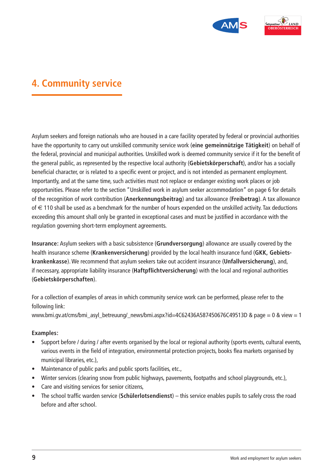



### **4. Community service**

Asylum seekers and foreign nationals who are housed in a care facility operated by federal or provincial authorities have the opportunity to carry out unskilled community service work (**eine gemeinnützige Tätigkeit**) on behalf of the federal, provincial and municipal authorities. Unskilled work is deemed community service if it for the benefit of the general public, as represented by the respective local authority (**Gebietskörperschaft**), and/or has a socially beneficial character, or is related to a specific event or project, and is not intended as permanent employment. Importantly, and at the same time, such activities must not replace or endanger existing work places or job opportunities. Please refer to the section "Unskilled work in asylum seeker accommodation" on page 6 for details of the recognition of work contribution (**Anerkennungsbeitrag**) and tax allowance (**Freibetrag**). A tax allowance of  $\epsilon$  110 shall be used as a benchmark for the number of hours expended on the unskilled activity. Tax deductions exceeding this amount shall only be granted in exceptional cases and must be justified in accordance with the regulation governing short-term employment agreements.

**Insurance:** Asylum seekers with a basic subsistence (**Grundversorgung**) allowance are usually covered by the health insurance scheme (**Krankenversicherung**) provided by the local health insurance fund (**GKK, Gebietskrankenkasse**). We recommend that asylum seekers take out accident insurance (**Unfallversicherung**), and, if necessary, appropriate liability insurance (**Haftpflichtversicherung**) with the local and regional authorities (**Gebietskörperschaften**).

For a collection of examples of areas in which community service work can be performed, please refer to the following link:

www.bmi.gv.at/cms/bmi\_asyl\_betreuung/\_news/bmi.aspx?id=4C62436A587450676C49513D & page = 0 & view = 1

### **Examples:**

- Support before / during / after events organised by the local or regional authority (sports events, cultural events, various events in the field of integration, environmental protection projects, books flea markets organised by municipal libraries, etc.),
- Maintenance of public parks and public sports facilities, etc.,
- Winter services (clearing snow from public highways, pavements, footpaths and school playgrounds, etc.),
- Care and visiting services for senior citizens,
- The school traffic warden service (**Schülerlotsendienst**) this service enables pupils to safely cross the road before and after school.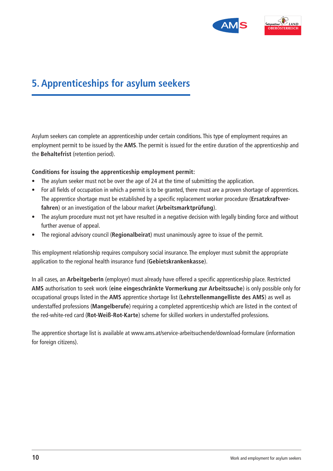



### **5. Apprenticeships for asylum seekers**

Asylum seekers can complete an apprenticeship under certain conditions. This type of employment requires an employment permit to be issued by the **AMS**. The permit is issued for the entire duration of the apprenticeship and the **Behaltefrist** (retention period).

### **Conditions for issuing the apprenticeship employment permit:**

- The asylum seeker must not be over the age of 24 at the time of submitting the application.
- For all fields of occupation in which a permit is to be granted, there must are a proven shortage of apprentices. The apprentice shortage must be established by a specific replacement worker procedure (**Ersatzkraftverfahren**) or an investigation of the labour market (**Arbeitsmarktprüfung**).
- The asylum procedure must not yet have resulted in a negative decision with legally binding force and without further avenue of appeal.
- The regional advisory council (**Regionalbeirat**) must unanimously agree to issue of the permit.

This employment relationship requires compulsory social insurance. The employer must submit the appropriate application to the regional health insurance fund (**Gebietskrankenkasse**).

In all cases, an **ArbeitgeberIn** (employer) must already have offered a specific apprenticeship place. Restricted **AMS** authorisation to seek work (**eine eingeschränkte Vormerkung zur Arbeitssuche**) is only possible only for occupational groups listed in the **AMS** apprentice shortage list (**Lehrstellenmangelliste des AMS**) as well as understaffed professions (**Mangelberufe**) requiring a completed apprenticeship which are listed in the context of the red-white-red card (**Rot-Weiß-Rot-Karte**) scheme for skilled workers in understaffed professions.

The apprentice shortage list is available at www.ams.at/service-arbeitsuchende/download-formulare (information for foreign citizens).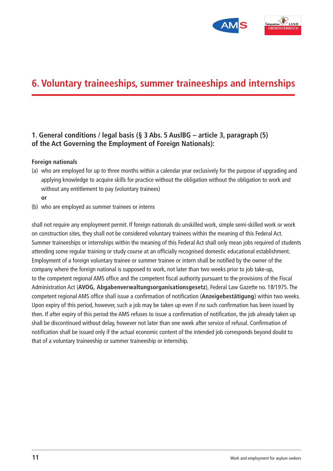

### **6. Voluntary traineeships, summer traineeships and internships**

### **1. General conditions / legal basis (§ 3 Abs. 5 AuslBG – article 3, paragraph (5) of the Act Governing the Employment of Foreign Nationals):**

#### **Foreign nationals**

- (a) who are employed for up to three months within a calendar year exclusively for the purpose of upgrading and applying knowledge to acquire skills for practice without the obligation without the obligation to work and without any entitlement to pay (voluntary trainees)
	- **or**
- (b) who are employed as summer trainees or interns

shall not require any employment permit. If foreign nationals do unskilled work, simple semi-skilled work or work on construction sites, they shall not be considered voluntary trainees within the meaning of this Federal Act. Summer traineeships or internships within the meaning of this Federal Act shall only mean jobs required of students attending some regular training or study course at an officially recognised domestic educational establishment. Employment of a foreign voluntary trainee or summer trainee or intern shall be notified by the owner of the company where the foreign national is supposed to work, not later than two weeks prior to job take-up, to the competent regional AMS office and the competent fiscal authority pursuant to the provisions of the Fiscal Administration Act (**AVOG, Abgabenverwaltungsorganisationsgesetz**), Federal Law Gazette no. 18/1975. The competent regional AMS office shall issue a confirmation of notification (**Anzeigebestätigung**) within two weeks. Upon expiry of this period, however, such a job may be taken up even if no such confirmation has been issued by then. If after expiry of this period the AMS refuses to issue a confirmation of notification, the job already taken up shall be discontinued without delay, however not later than one week after service of refusal. Confirmation of notification shall be issued only if the actual economic content of the intended job corresponds beyond doubt to that of a voluntary traineeship or summer traineeship or internship.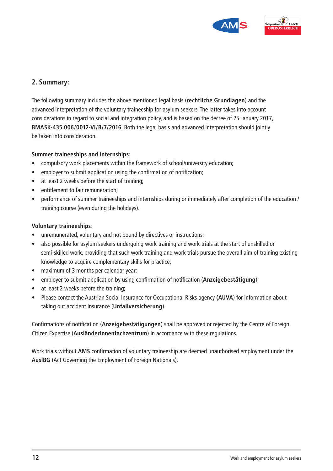



### **2. Summary:**

The following summary includes the above mentioned legal basis (**rechtliche Grundlagen**) and the advanced interpretation of the voluntary traineeship for asylum seekers. The latter takes into account considerations in regard to social and integration policy, and is based on the decree of 25 January 2017, **BMASK-435.006/0012-VI/B/7/2016**. Both the legal basis and advanced interpretation should jointly be taken into consideration.

### **Summer traineeships and internships:**

- compulsory work placements within the framework of school/university education;
- employer to submit application using the confirmation of notification;
- at least 2 weeks before the start of training:
- entitlement to fair remuneration:
- performance of summer traineeships and internships during or immediately after completion of the education / training course (even during the holidays).

### **Voluntary traineeships:**

- unremunerated, voluntary and not bound by directives or instructions;
- also possible for asylum seekers undergoing work training and work trials at the start of unskilled or semi-skilled work, providing that such work training and work trials pursue the overall aim of training existing knowledge to acquire complementary skills for practice;
- maximum of 3 months per calendar year;
- employer to submit application by using confirmation of notification (**Anzeigebestätigung**);
- at least 2 weeks before the training;
- Please contact the Austrian Social Insurance for Occupational Risks agency **(AUVA**) for information about taking out accident insurance (**Unfallversicherung**).

Confirmations of notification (**Anzeigebestätigungen**) shall be approved or rejected by the Centre of Foreign Citizen Expertise (**AusländerInnenfachzentrum**) in accordance with these regulations.

Work trials without **AMS** confirmation of voluntary traineeship are deemed unauthorised employment under the **AuslBG** (Act Governing the Employment of Foreign Nationals).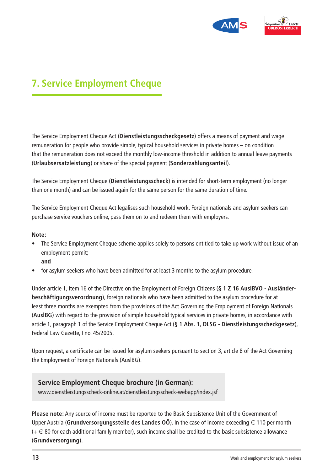



### **7. Service Employment Cheque**

The Service Employment Cheque Act (**Dienstleistungsscheckgesetz**) offers a means of payment and wage remuneration for people who provide simple, typical household services in private homes – on condition that the remuneration does not exceed the monthly low-income threshold in addition to annual leave payments (**Urlaubsersatzleistung**) or share of the special payment (**Sonderzahlungsanteil**).

The Service Employment Cheque (**Dienstleistungsscheck**) is intended for short-term employment (no longer than one month) and can be issued again for the same person for the same duration of time.

The Service Employment Cheque Act legalises such household work. Foreign nationals and asylum seekers can purchase service vouchers online, pass them on to and redeem them with employers.

#### **Note:**

- The Service Employment Cheque scheme applies solely to persons entitled to take up work without issue of an employment permit;
	- **and**
- for asylum seekers who have been admitted for at least 3 months to the asylum procedure.

Under article 1, item 16 of the Directive on the Employment of Foreign Citizens (**§ 1 Z 16 AuslBVO - Ausländerbeschäftigungsverordnung**), foreign nationals who have been admitted to the asylum procedure for at least three months are exempted from the provisions of the Act Governing the Employment of Foreign Nationals (**AuslBG**) with regard to the provision of simple household typical services in private homes, in accordance with article 1, paragraph 1 of the Service Employment Cheque Act (**§ 1 Abs. 1, DLSG - Dienstleistungsscheckgesetz**), Federal Law Gazette, I no. 45/2005.

Upon request, a certificate can be issued for asylum seekers pursuant to section 3, article 8 of the Act Governing the Employment of Foreign Nationals (AuslBG).

### **Service Employment Cheque brochure (in German):**

www.dienstleistungsscheck-online.at/dienstleistungsscheck-webapp/index.jsf

**Please note:** Any source of income must be reported to the Basic Subsistence Unit of the Government of Upper Austria (**Grundversorgungsstelle des Landes OÖ**). In the case of income exceeding  $\in$  110 per month  $(+\infty)$  80 for each additional family member), such income shall be credited to the basic subsistence allowance (**Grundversorgung**).